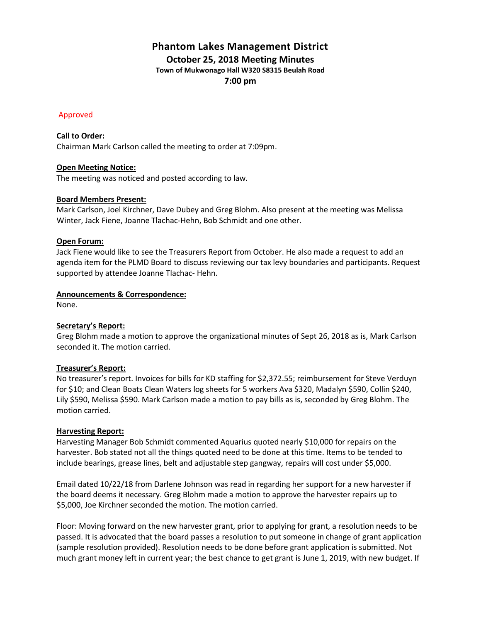# **Phantom Lakes Management District October 25, 2018 Meeting Minutes Town of Mukwonago Hall W320 S8315 Beulah Road**

**7:00 pm**

## Approved

## **Call to Order:**

Chairman Mark Carlson called the meeting to order at 7:09pm.

## **Open Meeting Notice:**

The meeting was noticed and posted according to law.

## **Board Members Present:**

Mark Carlson, Joel Kirchner, Dave Dubey and Greg Blohm. Also present at the meeting was Melissa Winter, Jack Fiene, Joanne Tlachac-Hehn, Bob Schmidt and one other.

## **Open Forum:**

Jack Fiene would like to see the Treasurers Report from October. He also made a request to add an agenda item for the PLMD Board to discuss reviewing our tax levy boundaries and participants. Request supported by attendee Joanne Tlachac- Hehn.

## **Announcements & Correspondence:**

None.

# **Secretary's Report:**

Greg Blohm made a motion to approve the organizational minutes of Sept 26, 2018 as is, Mark Carlson seconded it. The motion carried.

#### **Treasurer's Report:**

No treasurer's report. Invoices for bills for KD staffing for \$2,372.55; reimbursement for Steve Verduyn for \$10; and Clean Boats Clean Waters log sheets for 5 workers Ava \$320, Madalyn \$590, Collin \$240, Lily \$590, Melissa \$590. Mark Carlson made a motion to pay bills as is, seconded by Greg Blohm. The motion carried.

#### **Harvesting Report:**

Harvesting Manager Bob Schmidt commented Aquarius quoted nearly \$10,000 for repairs on the harvester. Bob stated not all the things quoted need to be done at this time. Items to be tended to include bearings, grease lines, belt and adjustable step gangway, repairs will cost under \$5,000.

Email dated 10/22/18 from Darlene Johnson was read in regarding her support for a new harvester if the board deems it necessary. Greg Blohm made a motion to approve the harvester repairs up to \$5,000, Joe Kirchner seconded the motion. The motion carried.

Floor: Moving forward on the new harvester grant, prior to applying for grant, a resolution needs to be passed. It is advocated that the board passes a resolution to put someone in change of grant application (sample resolution provided). Resolution needs to be done before grant application is submitted. Not much grant money left in current year; the best chance to get grant is June 1, 2019, with new budget. If